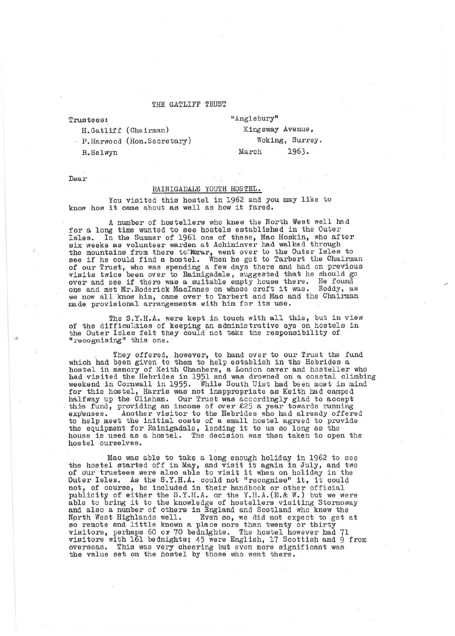## THE GATLIFF TRUST

Trustees:

"Anglebury"

P.Harwood (Hon.Secretary)

B.Selwyn

H. Gatlif f (Chairman)

Kingsway Avenue, Woking, Surrey. March 1963.

Dear

## RAINIGADALE YOUTH HOSTEL.

You visited this hostel in 1962 and you may like to know how it came about as well as how it fared.

A number of hostellers who knew the North West well had for a long time wanted to see hostels established in the Outer Isles. In the Summer of 1961 one of these, Mac Hoskin, who after<br>six weeks as volunteer warden at Achininver had walked through six weeks as volunteer warden at Achininver had walked through the mountains from there to: Marar, went over to the Outer Isles to see if he could find a hostel. When he got to Tarbert the Chairman of our Trust, who was spending a few days there and had on previous visits twice been over to Rainigadale, suggested that he should go over and see if there was a suitable empty house there. He found<br>one and met Mr.Roderick MacInnes on whose croft it was. Roddy, as we now all know him, came over to Tarbert and Mac and the Chairman made provisional arrangements with him for its use.

The S.Y.H.A. were kept in touch with all this, but in view of the difficulities of keeping an administrative eye on hostels in the Outer Isles felt they could not take the responsibility of II recognising" this one.

They offered, however, to hand over to our Trust the fund which had been given to them to help establish in the Hebrides a hostel in memory of Keith Chambers, a London caver and hosteller who had visited the Hebrides in 1951 and was drowned on a coastal climbing weekend in Cornwall in 1955. While South Uist had been most in mind for this hostel, Harris was not inappropriate as Keith had camped halfway up the Clisham. Our Trust was accordingly glad to accept this fund, providing an income of over £25 a year towards running exp'enses. Another visitor to the Hebrides who had already offered to help meet the initial costs of a small hostel agreed to provide the equipment for Rainigadale, lending it to us so long as the house is used as a hostel. The decision was then taken to open the hostel ourselves.

Mac was able to take a long enough holiday in 1962 to see the hostel started off in May, and visit it again in July, and two of our trustees were also able to visit it when on holiday in the Outer Isles. As the S.Y.H.A. could not "recognise" it, it could not, of course, be included in their handbook or other official publicity of either the S.Y.H.A. or the Y.H.A.(E.& W.) but we were able to bring it to the knowledge of hostellers visiting Stornoway and also a number of others in England and Scotland who knew the North West Highlands well. Even so, we did not expect to get at Nprth West Highlands well. Even so, we did not expect to get at so remote and little known a place more than twenty or thirty visitors, perhaps 60 or 70 bednights. The hostel however had 71 visitors with 161 bednights; 45 were English, 17 Scottish and 9 from overseas. This was very cheering bu't even more significant was the value set on the hostel by those who went there.